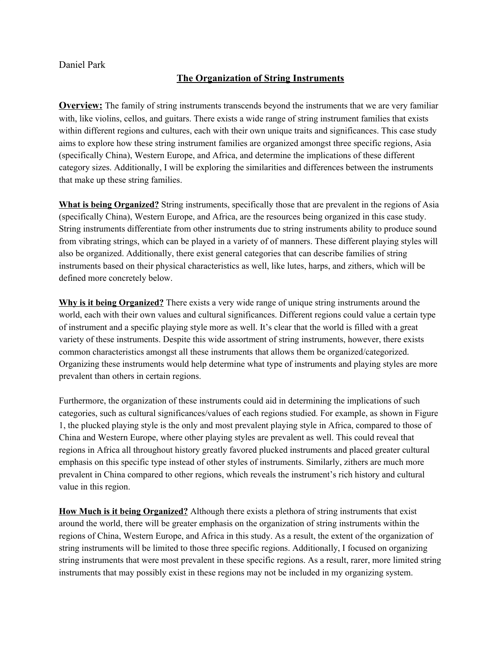## Daniel Park

## **The Organization of String Instruments**

**Overview:** The family of string instruments transcends beyond the instruments that we are very familiar with, like violins, cellos, and guitars. There exists a wide range of string instrument families that exists within different regions and cultures, each with their own unique traits and significances. This case study aims to explore how these string instrument families are organized amongst three specific regions, Asia (specifically China), Western Europe, and Africa, and determine the implications of these different category sizes. Additionally, I will be exploring the similarities and differences between the instruments that make up these string families.

**What is being Organized?** String instruments, specifically those that are prevalent in the regions of Asia (specifically China), Western Europe, and Africa, are the resources being organized in this case study. String instruments differentiate from other instruments due to string instruments ability to produce sound from vibrating strings, which can be played in a variety of of manners. These different playing styles will also be organized. Additionally, there exist general categories that can describe families of string instruments based on their physical characteristics as well, like lutes, harps, and zithers, which will be defined more concretely below.

**Why is it being Organized?** There exists a very wide range of unique string instruments around the world, each with their own values and cultural significances. Different regions could value a certain type of instrument and a specific playing style more as well. It's clear that the world is filled with a great variety of these instruments. Despite this wide assortment of string instruments, however, there exists common characteristics amongst all these instruments that allows them be organized/categorized. Organizing these instruments would help determine what type of instruments and playing styles are more prevalent than others in certain regions.

Furthermore, the organization of these instruments could aid in determining the implications of such categories, such as cultural significances/values of each regions studied. For example, as shown in Figure 1, the plucked playing style is the only and most prevalent playing style in Africa, compared to those of China and Western Europe, where other playing styles are prevalent as well. This could reveal that regions in Africa all throughout history greatly favored plucked instruments and placed greater cultural emphasis on this specific type instead of other styles of instruments. Similarly, zithers are much more prevalent in China compared to other regions, which reveals the instrument's rich history and cultural value in this region.

**How Much is it being Organized?** Although there exists a plethora of string instruments that exist around the world, there will be greater emphasis on the organization of string instruments within the regions of China, Western Europe, and Africa in this study. As a result, the extent of the organization of string instruments will be limited to those three specific regions. Additionally, I focused on organizing string instruments that were most prevalent in these specific regions. As a result, rarer, more limited string instruments that may possibly exist in these regions may not be included in my organizing system.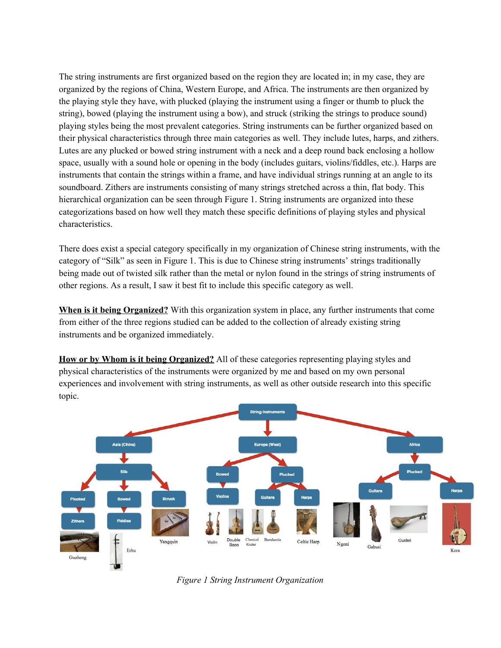The string instruments are first organized based on the region they are located in; in my case, they are organized by the regions of China, Western Europe, and Africa. The instruments are then organized by the playing style they have, with plucked (playing the instrument using a finger or thumb to pluck the string), bowed (playing the instrument using a bow), and struck (striking the strings to produce sound) playing styles being the most prevalent categories. String instruments can be further organized based on their physical characteristics through three main categories as well. They include lutes, harps, and zithers. Lutes are any plucked or bowed string instrument with a neck and a deep round back enclosing a hollow space, usually with a sound hole or opening in the body (includes guitars, violins/fiddles, etc.). Harps are instruments that contain the strings within a frame, and have individual strings running at an angle to its soundboard. Zithers are instruments consisting of many strings stretched across a thin, flat body. This hierarchical organization can be seen through Figure 1. String instruments are organized into these categorizations based on how well they match these specific definitions of playing styles and physical characteristics.

There does exist a special category specifically in my organization of Chinese string instruments, with the category of "Silk" as seen in Figure 1. This is due to Chinese string instruments' strings traditionally being made out of twisted silk rather than the metal or nylon found in the strings of string instruments of other regions. As a result, I saw it best fit to include this specific category as well.

**When is it being Organized?** With this organization system in place, any further instruments that come from either of the three regions studied can be added to the collection of already existing string instruments and be organized immediately.

**How or by Whom is it being Organized?** All of these categories representing playing styles and physical characteristics of the instruments were organized by me and based on my own personal experiences and involvement with string instruments, as well as other outside research into this specific topic.



*Figure 1 String Instrument Organization*